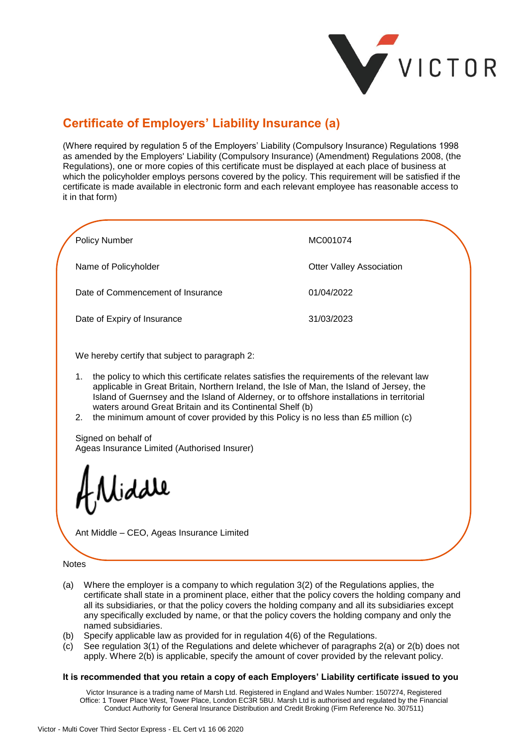

## **Certificate of Employers' Liability Insurance (a)**

(Where required by regulation 5 of the Employers' Liability (Compulsory Insurance) Regulations 1998 as amended by the Employers' Liability (Compulsory Insurance) (Amendment) Regulations 2008, (the Regulations), one or more copies of this certificate must be displayed at each place of business at which the policyholder employs persons covered by the policy. This requirement will be satisfied if the certificate is made available in electronic form and each relevant employee has reasonable access to it in that form)

| <b>Policy Number</b>                                                                                                                                                                                                                                                                                                                                                                                        | MC001074                        |
|-------------------------------------------------------------------------------------------------------------------------------------------------------------------------------------------------------------------------------------------------------------------------------------------------------------------------------------------------------------------------------------------------------------|---------------------------------|
| Name of Policyholder                                                                                                                                                                                                                                                                                                                                                                                        | <b>Otter Valley Association</b> |
| Date of Commencement of Insurance                                                                                                                                                                                                                                                                                                                                                                           | 01/04/2022                      |
| Date of Expiry of Insurance                                                                                                                                                                                                                                                                                                                                                                                 | 31/03/2023                      |
| We hereby certify that subject to paragraph 2:<br>the policy to which this certificate relates satisfies the requirements of the relevant law<br>1.<br>applicable in Great Britain, Northern Ireland, the Isle of Man, the Island of Jersey, the<br>Island of Guernsey and the Island of Alderney, or to offshore installations in territorial<br>waters around Great Britain and its Continental Shelf (b) |                                 |

2. the minimum amount of cover provided by this Policy is no less than £5 million (c)

Signed on behalf of Ageas Insurance Limited (Authorised Insurer)

liddle

Ant Middle – CEO, Ageas Insurance Limited

## Notes

- (a) Where the employer is a company to which regulation 3(2) of the Regulations applies, the certificate shall state in a prominent place, either that the policy covers the holding company and all its subsidiaries, or that the policy covers the holding company and all its subsidiaries except any specifically excluded by name, or that the policy covers the holding company and only the named subsidiaries.
- (b) Specify applicable law as provided for in regulation  $4(6)$  of the Regulations.<br>(c) See regulation  $3(1)$  of the Regulations and delete whichever of paragraphs
- See regulation 3(1) of the Regulations and delete whichever of paragraphs  $2(a)$  or  $2(b)$  does not apply. Where 2(b) is applicable, specify the amount of cover provided by the relevant policy.

## **It is recommended that you retain a copy of each Employers' Liability certificate issued to you**

Victor Insurance is a trading name of Marsh Ltd. Registered in England and Wales Number: 1507274, Registered Office: 1 Tower Place West, Tower Place, London EC3R 5BU. Marsh Ltd is authorised and regulated by the Financial Conduct Authority for General Insurance Distribution and Credit Broking (Firm Reference No. 307511)